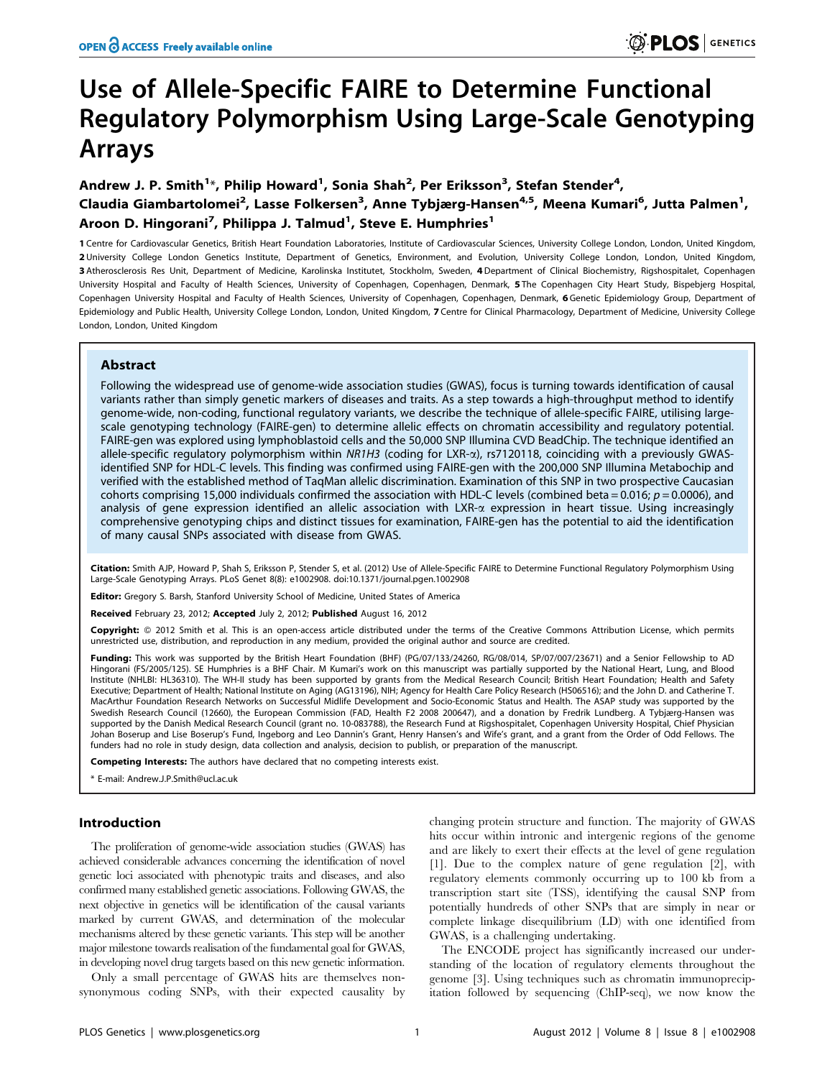# Use of Allele-Specific FAIRE to Determine Functional Regulatory Polymorphism Using Large-Scale Genotyping Arrays

Andrew J. P. Smith<sup>1</sup>\*, Philip Howard<sup>1</sup>, Sonia Shah<sup>2</sup>, Per Eriksson<sup>3</sup>, Stefan Stender<sup>4</sup>, Claudia Giambartolomei<sup>2</sup>, Lasse Folkersen<sup>3</sup>, Anne Tybjærg-Hansen<sup>4,5</sup>, Meena Kumari<sup>6</sup>, Jutta Palmen<sup>1</sup>, Aroon D. Hingorani<sup>7</sup>, Philippa J. Talmud<sup>1</sup>, Steve E. Humphries<sup>1</sup>

1 Centre for Cardiovascular Genetics, British Heart Foundation Laboratories, Institute of Cardiovascular Sciences, University College London, London, United Kingdom, 2 University College London Genetics Institute, Department of Genetics, Environment, and Evolution, University College London, London, United Kingdom, 3 Atherosclerosis Res Unit, Department of Medicine, Karolinska Institutet, Stockholm, Sweden, 4 Department of Clinical Biochemistry, Rigshospitalet, Copenhagen University Hospital and Faculty of Health Sciences, University of Copenhagen, Copenhagen, Denmark, 5 The Copenhagen City Heart Study, Bispebjerg Hospital, Copenhagen University Hospital and Faculty of Health Sciences, University of Copenhagen, Copenhagen, Denmark, 6 Genetic Epidemiology Group, Department of Epidemiology and Public Health, University College London, London, United Kingdom, 7 Centre for Clinical Pharmacology, Department of Medicine, University College London, London, United Kingdom

# Abstract

Following the widespread use of genome-wide association studies (GWAS), focus is turning towards identification of causal variants rather than simply genetic markers of diseases and traits. As a step towards a high-throughput method to identify genome-wide, non-coding, functional regulatory variants, we describe the technique of allele-specific FAIRE, utilising largescale genotyping technology (FAIRE-gen) to determine allelic effects on chromatin accessibility and regulatory potential. FAIRE-gen was explored using lymphoblastoid cells and the 50,000 SNP Illumina CVD BeadChip. The technique identified an allele-specific regulatory polymorphism within NR1H3 (coding for LXR-a), rs7120118, coinciding with a previously GWASidentified SNP for HDL-C levels. This finding was confirmed using FAIRE-gen with the 200,000 SNP Illumina Metabochip and verified with the established method of TaqMan allelic discrimination. Examination of this SNP in two prospective Caucasian cohorts comprising 15,000 individuals confirmed the association with HDL-C levels (combined beta = 0.016;  $p = 0.0006$ ), and analysis of gene expression identified an allelic association with LXR- $\alpha$  expression in heart tissue. Using increasingly comprehensive genotyping chips and distinct tissues for examination, FAIRE-gen has the potential to aid the identification of many causal SNPs associated with disease from GWAS.

Citation: Smith AJP, Howard P, Shah S, Eriksson P, Stender S, et al. (2012) Use of Allele-Specific FAIRE to Determine Functional Regulatory Polymorphism Using Large-Scale Genotyping Arrays. PLoS Genet 8(8): e1002908. doi:10.1371/journal.pgen.1002908

Editor: Gregory S. Barsh, Stanford University School of Medicine, United States of America

Received February 23, 2012; Accepted July 2, 2012; Published August 16, 2012

Copyright: © 2012 Smith et al. This is an open-access article distributed under the terms of the Creative Commons Attribution License, which permits unrestricted use, distribution, and reproduction in any medium, provided the original author and source are credited.

Funding: This work was supported by the British Heart Foundation (BHF) (PG/07/133/24260, RG/08/014, SP/07/007/23671) and a Senior Fellowship to AD Hingorani (FS/2005/125). SE Humphries is a BHF Chair. M Kumari's work on this manuscript was partially supported by the National Heart, Lung, and Blood Institute (NHLBI: HL36310). The WH-II study has been supported by grants from the Medical Research Council; British Heart Foundation; Health and Safety Executive; Department of Health; National Institute on Aging (AG13196), NIH; Agency for Health Care Policy Research (HS06516); and the John D. and Catherine T. MacArthur Foundation Research Networks on Successful Midlife Development and Socio-Economic Status and Health. The ASAP study was supported by the Swedish Research Council (12660), the European Commission (FAD, Health F2 2008 200647), and a donation by Fredrik Lundberg. A Tybjærg-Hansen was supported by the Danish Medical Research Council (grant no. 10-083788), the Research Fund at Rigshospitalet, Copenhagen University Hospital, Chief Physician Johan Boserup and Lise Boserup's Fund, Ingeborg and Leo Dannin's Grant, Henry Hansen's and Wife's grant, and a grant from the Order of Odd Fellows. The funders had no role in study design, data collection and analysis, decision to publish, or preparation of the manuscript.

Competing Interests: The authors have declared that no competing interests exist.

\* E-mail: Andrew.J.P.Smith@ucl.ac.uk

# Introduction

The proliferation of genome-wide association studies (GWAS) has achieved considerable advances concerning the identification of novel genetic loci associated with phenotypic traits and diseases, and also confirmed many established genetic associations. Following GWAS, the next objective in genetics will be identification of the causal variants marked by current GWAS, and determination of the molecular mechanisms altered by these genetic variants. This step will be another major milestone towards realisation of the fundamental goal for GWAS, in developing novel drug targets based on this new genetic information.

Only a small percentage of GWAS hits are themselves nonsynonymous coding SNPs, with their expected causality by changing protein structure and function. The majority of GWAS hits occur within intronic and intergenic regions of the genome and are likely to exert their effects at the level of gene regulation [1]. Due to the complex nature of gene regulation [2], with regulatory elements commonly occurring up to 100 kb from a transcription start site (TSS), identifying the causal SNP from potentially hundreds of other SNPs that are simply in near or complete linkage disequilibrium (LD) with one identified from GWAS, is a challenging undertaking.

The ENCODE project has significantly increased our understanding of the location of regulatory elements throughout the genome [3]. Using techniques such as chromatin immunoprecipitation followed by sequencing (ChIP-seq), we now know the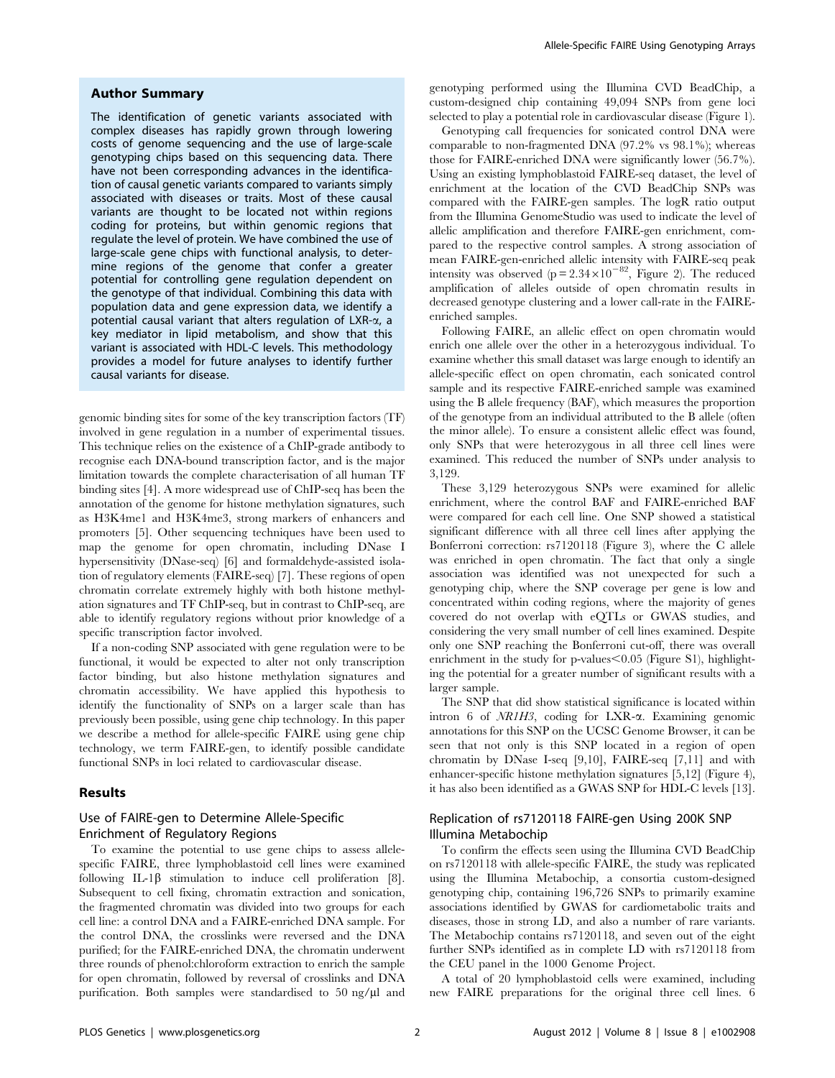#### Author Summary

The identification of genetic variants associated with complex diseases has rapidly grown through lowering costs of genome sequencing and the use of large-scale genotyping chips based on this sequencing data. There have not been corresponding advances in the identification of causal genetic variants compared to variants simply associated with diseases or traits. Most of these causal variants are thought to be located not within regions coding for proteins, but within genomic regions that regulate the level of protein. We have combined the use of large-scale gene chips with functional analysis, to determine regions of the genome that confer a greater potential for controlling gene regulation dependent on the genotype of that individual. Combining this data with population data and gene expression data, we identify a potential causal variant that alters regulation of LXR-a, a key mediator in lipid metabolism, and show that this variant is associated with HDL-C levels. This methodology provides a model for future analyses to identify further causal variants for disease.

genomic binding sites for some of the key transcription factors (TF) involved in gene regulation in a number of experimental tissues. This technique relies on the existence of a ChIP-grade antibody to recognise each DNA-bound transcription factor, and is the major limitation towards the complete characterisation of all human TF binding sites [4]. A more widespread use of ChIP-seq has been the annotation of the genome for histone methylation signatures, such as H3K4me1 and H3K4me3, strong markers of enhancers and promoters [5]. Other sequencing techniques have been used to map the genome for open chromatin, including DNase I hypersensitivity (DNase-seq) [6] and formaldehyde-assisted isolation of regulatory elements (FAIRE-seq) [7]. These regions of open chromatin correlate extremely highly with both histone methylation signatures and TF ChIP-seq, but in contrast to ChIP-seq, are able to identify regulatory regions without prior knowledge of a specific transcription factor involved.

If a non-coding SNP associated with gene regulation were to be functional, it would be expected to alter not only transcription factor binding, but also histone methylation signatures and chromatin accessibility. We have applied this hypothesis to identify the functionality of SNPs on a larger scale than has previously been possible, using gene chip technology. In this paper we describe a method for allele-specific FAIRE using gene chip technology, we term FAIRE-gen, to identify possible candidate functional SNPs in loci related to cardiovascular disease.

#### Results

# Use of FAIRE-gen to Determine Allele-Specific Enrichment of Regulatory Regions

To examine the potential to use gene chips to assess allelespecific FAIRE, three lymphoblastoid cell lines were examined following IL-1 $\beta$  stimulation to induce cell proliferation [8]. Subsequent to cell fixing, chromatin extraction and sonication, the fragmented chromatin was divided into two groups for each cell line: a control DNA and a FAIRE-enriched DNA sample. For the control DNA, the crosslinks were reversed and the DNA purified; for the FAIRE-enriched DNA, the chromatin underwent three rounds of phenol:chloroform extraction to enrich the sample for open chromatin, followed by reversal of crosslinks and DNA purification. Both samples were standardised to 50 ng/µl and genotyping performed using the Illumina CVD BeadChip, a custom-designed chip containing 49,094 SNPs from gene loci selected to play a potential role in cardiovascular disease (Figure 1).

Genotyping call frequencies for sonicated control DNA were comparable to non-fragmented DNA (97.2% vs 98.1%); whereas those for FAIRE-enriched DNA were significantly lower (56.7%). Using an existing lymphoblastoid FAIRE-seq dataset, the level of enrichment at the location of the CVD BeadChip SNPs was compared with the FAIRE-gen samples. The logR ratio output from the Illumina GenomeStudio was used to indicate the level of allelic amplification and therefore FAIRE-gen enrichment, compared to the respective control samples. A strong association of mean FAIRE-gen-enriched allelic intensity with FAIRE-seq peak intensity was observed (p =  $2.34 \times 10^{-82}$ , Figure 2). The reduced amplification of alleles outside of open chromatin results in decreased genotype clustering and a lower call-rate in the FAIREenriched samples.

Following FAIRE, an allelic effect on open chromatin would enrich one allele over the other in a heterozygous individual. To examine whether this small dataset was large enough to identify an allele-specific effect on open chromatin, each sonicated control sample and its respective FAIRE-enriched sample was examined using the B allele frequency (BAF), which measures the proportion of the genotype from an individual attributed to the B allele (often the minor allele). To ensure a consistent allelic effect was found, only SNPs that were heterozygous in all three cell lines were examined. This reduced the number of SNPs under analysis to 3,129.

These 3,129 heterozygous SNPs were examined for allelic enrichment, where the control BAF and FAIRE-enriched BAF were compared for each cell line. One SNP showed a statistical significant difference with all three cell lines after applying the Bonferroni correction: rs7120118 (Figure 3), where the C allele was enriched in open chromatin. The fact that only a single association was identified was not unexpected for such a genotyping chip, where the SNP coverage per gene is low and concentrated within coding regions, where the majority of genes covered do not overlap with eQTLs or GWAS studies, and considering the very small number of cell lines examined. Despite only one SNP reaching the Bonferroni cut-off, there was overall enrichment in the study for p-values $\leq 0.05$  (Figure S1), highlighting the potential for a greater number of significant results with a larger sample.

The SNP that did show statistical significance is located within intron 6 of NR1H3, coding for LXR-a. Examining genomic annotations for this SNP on the UCSC Genome Browser, it can be seen that not only is this SNP located in a region of open chromatin by DNase I-seq [9,10], FAIRE-seq [7,11] and with enhancer-specific histone methylation signatures [5,12] (Figure 4), it has also been identified as a GWAS SNP for HDL-C levels [13].

# Replication of rs7120118 FAIRE-gen Using 200K SNP Illumina Metabochip

To confirm the effects seen using the Illumina CVD BeadChip on rs7120118 with allele-specific FAIRE, the study was replicated using the Illumina Metabochip, a consortia custom-designed genotyping chip, containing 196,726 SNPs to primarily examine associations identified by GWAS for cardiometabolic traits and diseases, those in strong LD, and also a number of rare variants. The Metabochip contains rs7120118, and seven out of the eight further SNPs identified as in complete LD with rs7120118 from the CEU panel in the 1000 Genome Project.

A total of 20 lymphoblastoid cells were examined, including new FAIRE preparations for the original three cell lines. 6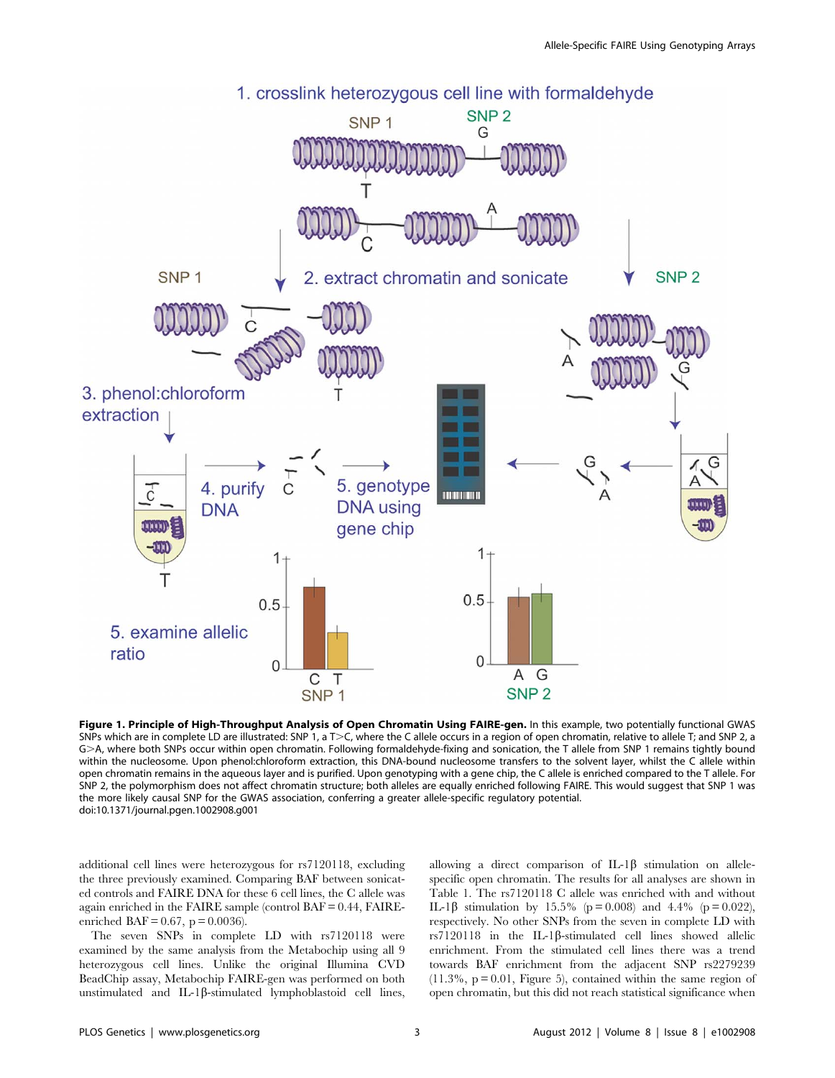

Figure 1. Principle of High-Throughput Analysis of Open Chromatin Using FAIRE-gen. In this example, two potentially functional GWAS SNPs which are in complete LD are illustrated: SNP 1, a T>C, where the C allele occurs in a region of open chromatin, relative to allele T; and SNP 2, a G>A, where both SNPs occur within open chromatin. Following formaldehyde-fixing and sonication, the T allele from SNP 1 remains tightly bound within the nucleosome. Upon phenol:chloroform extraction, this DNA-bound nucleosome transfers to the solvent layer, whilst the C allele within open chromatin remains in the aqueous layer and is purified. Upon genotyping with a gene chip, the C allele is enriched compared to the T allele. For SNP 2, the polymorphism does not affect chromatin structure; both alleles are equally enriched following FAIRE. This would suggest that SNP 1 was the more likely causal SNP for the GWAS association, conferring a greater allele-specific regulatory potential. doi:10.1371/journal.pgen.1002908.g001

additional cell lines were heterozygous for rs7120118, excluding the three previously examined. Comparing BAF between sonicated controls and FAIRE DNA for these 6 cell lines, the C allele was again enriched in the FAIRE sample (control BAF = 0.44, FAIREenriched BAF =  $0.67$ , p =  $0.0036$ ).

The seven SNPs in complete LD with rs7120118 were examined by the same analysis from the Metabochip using all 9 heterozygous cell lines. Unlike the original Illumina CVD BeadChip assay, Metabochip FAIRE-gen was performed on both unstimulated and IL-1 $\beta$ -stimulated lymphoblastoid cell lines, allowing a direct comparison of IL-1 $\beta$  stimulation on allelespecific open chromatin. The results for all analyses are shown in Table 1. The rs7120118 C allele was enriched with and without IL-1β stimulation by 15.5% (p = 0.008) and 4.4% (p = 0.022), respectively. No other SNPs from the seven in complete LD with  $rs7120118$  in the IL-1 $\beta$ -stimulated cell lines showed allelic enrichment. From the stimulated cell lines there was a trend towards BAF enrichment from the adjacent SNP rs2279239  $(11.3\%, p=0.01,$  Figure 5), contained within the same region of open chromatin, but this did not reach statistical significance when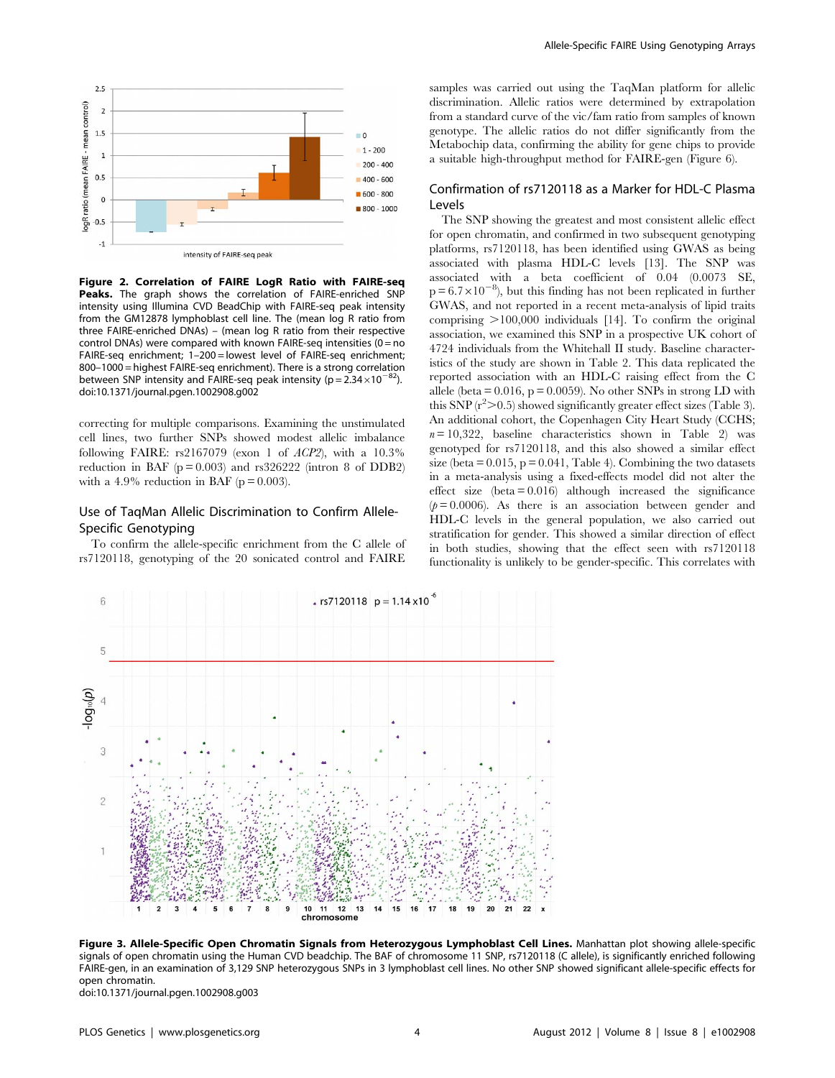

Figure 2. Correlation of FAIRE LogR Ratio with FAIRE-seq Peaks. The graph shows the correlation of FAIRE-enriched SNP intensity using Illumina CVD BeadChip with FAIRE-seq peak intensity from the GM12878 lymphoblast cell line. The (mean log R ratio from three FAIRE-enriched DNAs) – (mean log R ratio from their respective control DNAs) were compared with known FAIRE-seq intensities  $(0 = no$ FAIRE-seq enrichment; 1–200 = lowest level of FAIRE-seq enrichment; 800–1000 = highest FAIRE-seq enrichment). There is a strong correlation between SNP intensity and FAIRE-seq peak intensity ( $p = 2.34 \times 10^{-82}$ ). doi:10.1371/journal.pgen.1002908.g002

correcting for multiple comparisons. Examining the unstimulated cell lines, two further SNPs showed modest allelic imbalance following FAIRE:  $rs2167079$  (exon 1 of  $ACP2$ ), with a  $10.3\%$ reduction in BAF  $(p = 0.003)$  and rs326222 (intron 8 of DDB2) with a 4.9% reduction in BAF ( $p = 0.003$ ).

# Use of TaqMan Allelic Discrimination to Confirm Allele-Specific Genotyping

To confirm the allele-specific enrichment from the C allele of rs7120118, genotyping of the 20 sonicated control and FAIRE samples was carried out using the TaqMan platform for allelic discrimination. Allelic ratios were determined by extrapolation from a standard curve of the vic/fam ratio from samples of known genotype. The allelic ratios do not differ significantly from the Metabochip data, confirming the ability for gene chips to provide a suitable high-throughput method for FAIRE-gen (Figure 6).

# Confirmation of rs7120118 as a Marker for HDL-C Plasma Levels

The SNP showing the greatest and most consistent allelic effect for open chromatin, and confirmed in two subsequent genotyping platforms, rs7120118, has been identified using GWAS as being associated with plasma HDL-C levels [13]. The SNP was associated with a beta coefficient of 0.04 (0.0073 SE,  $p = 6.7 \times 10^{-8}$ , but this finding has not been replicated in further GWAS, and not reported in a recent meta-analysis of lipid traits comprising  $>100,000$  individuals [14]. To confirm the original association, we examined this SNP in a prospective UK cohort of 4724 individuals from the Whitehall II study. Baseline characteristics of the study are shown in Table 2. This data replicated the reported association with an HDL-C raising effect from the C allele (beta  $= 0.016$ ,  $p = 0.0059$ ). No other SNPs in strong LD with this SNP  $(r^2>0.5)$  showed significantly greater effect sizes (Table 3). An additional cohort, the Copenhagen City Heart Study (CCHS;  $n = 10,322$ , baseline characteristics shown in Table 2) was genotyped for rs7120118, and this also showed a similar effect size (beta  $= 0.015$ ,  $p = 0.041$ , Table 4). Combining the two datasets in a meta-analysis using a fixed-effects model did not alter the effect size  $beta = 0.016$ ) although increased the significance  $(p= 0.0006)$ . As there is an association between gender and HDL-C levels in the general population, we also carried out stratification for gender. This showed a similar direction of effect in both studies, showing that the effect seen with rs7120118 functionality is unlikely to be gender-specific. This correlates with



Figure 3. Allele-Specific Open Chromatin Signals from Heterozygous Lymphoblast Cell Lines. Manhattan plot showing allele-specific signals of open chromatin using the Human CVD beadchip. The BAF of chromosome 11 SNP, rs7120118 (C allele), is significantly enriched following FAIRE-gen, in an examination of 3,129 SNP heterozygous SNPs in 3 lymphoblast cell lines. No other SNP showed significant allele-specific effects for open chromatin.

doi:10.1371/journal.pgen.1002908.g003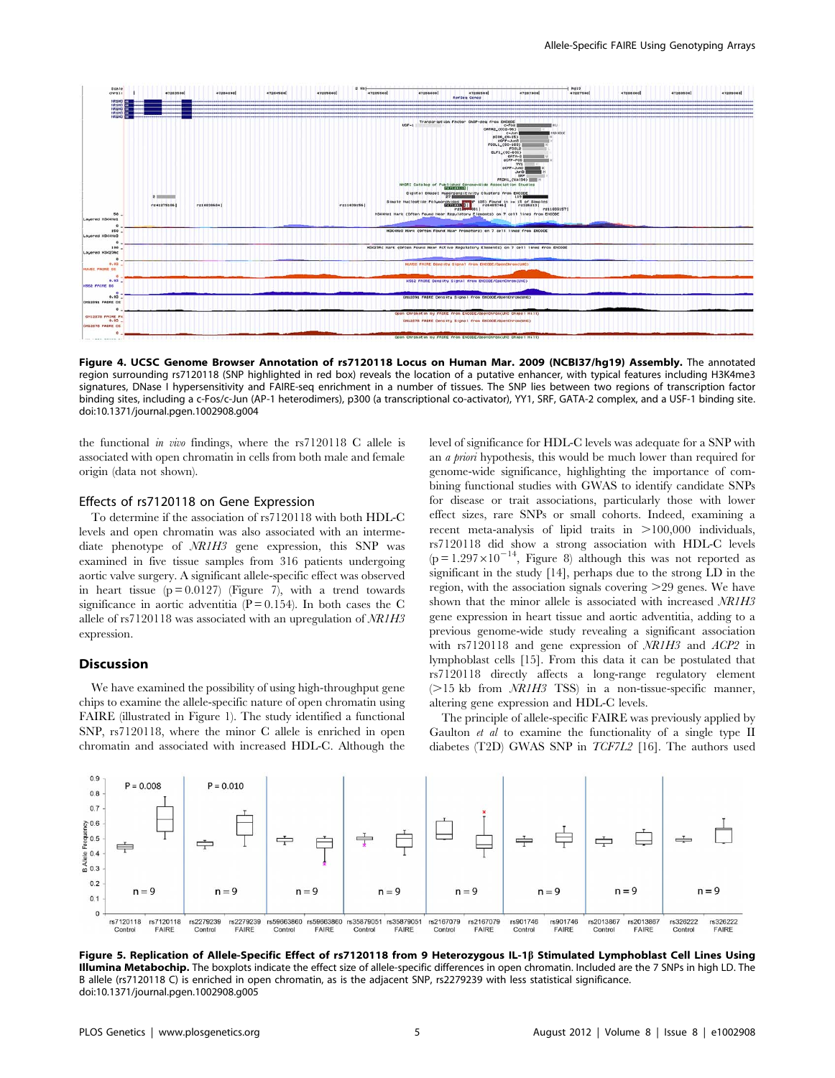

Figure 4. UCSC Genome Browser Annotation of rs7120118 Locus on Human Mar. 2009 (NCBI37/hg19) Assembly. The annotated region surrounding rs7120118 (SNP highlighted in red box) reveals the location of a putative enhancer, with typical features including H3K4me3 signatures, DNase I hypersensitivity and FAIRE-seq enrichment in a number of tissues. The SNP lies between two regions of transcription factor binding sites, including a c-Fos/c-Jun (AP-1 heterodimers), p300 (a transcriptional co-activator), YY1, SRF, GATA-2 complex, and a USF-1 binding site. doi:10.1371/journal.pgen.1002908.g004

the functional in vivo findings, where the rs7120118 C allele is associated with open chromatin in cells from both male and female origin (data not shown).

#### Effects of rs7120118 on Gene Expression

To determine if the association of rs7120118 with both HDL-C levels and open chromatin was also associated with an intermediate phenotype of NR1H3 gene expression, this SNP was examined in five tissue samples from 316 patients undergoing aortic valve surgery. A significant allele-specific effect was observed in heart tissue  $(p = 0.0127)$  (Figure 7), with a trend towards significance in aortic adventitia  $(P = 0.154)$ . In both cases the C allele of rs7120118 was associated with an upregulation of NR1H3 expression.

#### **Discussion**

We have examined the possibility of using high-throughput gene chips to examine the allele-specific nature of open chromatin using FAIRE (illustrated in Figure 1). The study identified a functional SNP, rs7120118, where the minor C allele is enriched in open chromatin and associated with increased HDL-C. Although the level of significance for HDL-C levels was adequate for a SNP with an a priori hypothesis, this would be much lower than required for genome-wide significance, highlighting the importance of combining functional studies with GWAS to identify candidate SNPs for disease or trait associations, particularly those with lower effect sizes, rare SNPs or small cohorts. Indeed, examining a recent meta-analysis of lipid traits in  $>100,000$  individuals, rs7120118 did show a strong association with HDL-C levels  $(p=1.297\times10^{-14}$ , Figure 8) although this was not reported as significant in the study [14], perhaps due to the strong LD in the region, with the association signals covering  $>29$  genes. We have shown that the minor allele is associated with increased NR1H3 gene expression in heart tissue and aortic adventitia, adding to a previous genome-wide study revealing a significant association with rs7120118 and gene expression of NR1H3 and ACP2 in lymphoblast cells [15]. From this data it can be postulated that rs7120118 directly affects a long-range regulatory element  $(>=15$  kb from  $NR1H3$  TSS) in a non-tissue-specific manner, altering gene expression and HDL-C levels.

The principle of allele-specific FAIRE was previously applied by Gaulton *et al* to examine the functionality of a single type II diabetes (T2D) GWAS SNP in TCF7L2 [16]. The authors used



Figure 5. Replication of Allele-Specific Effect of rs7120118 from 9 Heterozygous IL-1b Stimulated Lymphoblast Cell Lines Using **Illumina Metabochip.** The boxplots indicate the effect size of allele-specific differences in open chromatin. Included are the 7 SNPs in high LD. The B allele (rs7120118 C) is enriched in open chromatin, as is the adjacent SNP, rs2279239 with less statistical significance. doi:10.1371/journal.pgen.1002908.g005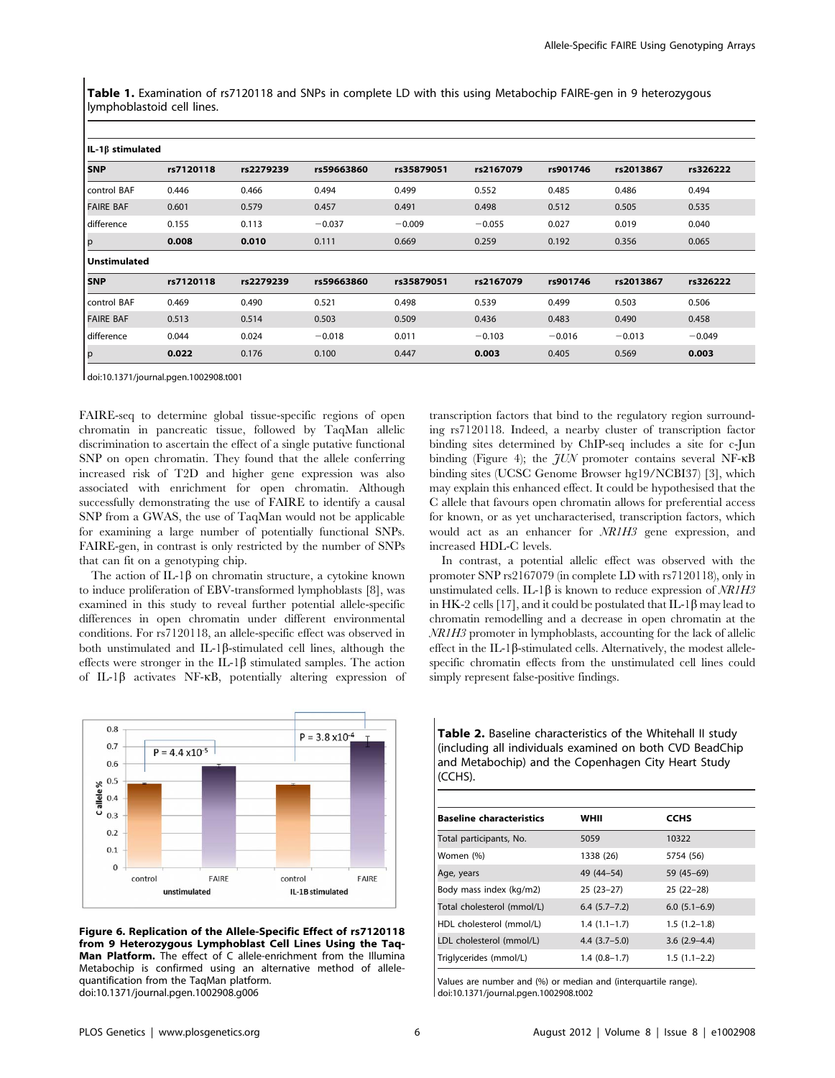Table 1. Examination of rs7120118 and SNPs in complete LD with this using Metabochip FAIRE-gen in 9 heterozygous lymphoblastoid cell lines.

| IL-1β stimulated    |           |           |                         |            |           |          |           |          |
|---------------------|-----------|-----------|-------------------------|------------|-----------|----------|-----------|----------|
| <b>SNP</b>          | rs7120118 |           | rs2279239<br>rs59663860 |            | rs2167079 | rs901746 | rs2013867 | rs326222 |
| control BAF         | 0.446     | 0.466     | 0.494                   | 0.499      | 0.552     | 0.485    | 0.486     | 0.494    |
| <b>FAIRE BAF</b>    | 0.601     | 0.579     | 0.457                   | 0.491      | 0.498     | 0.512    | 0.505     | 0.535    |
| difference          | 0.155     | 0.113     | $-0.037$                | $-0.009$   | $-0.055$  | 0.027    | 0.019     | 0.040    |
| p                   | 0.008     | 0.010     | 0.111                   | 0.669      | 0.259     | 0.192    | 0.356     | 0.065    |
| <b>Unstimulated</b> |           |           |                         |            |           |          |           |          |
| <b>SNP</b>          | rs7120118 | rs2279239 | rs59663860              | rs35879051 | rs2167079 | rs901746 | rs2013867 | rs326222 |
| control BAF         | 0.469     | 0.490     | 0.521                   | 0.498      | 0.539     | 0.499    | 0.503     | 0.506    |
| <b>FAIRE BAF</b>    | 0.513     | 0.514     | 0.503                   | 0.509      | 0.436     | 0.483    | 0.490     | 0.458    |
| difference          | 0.044     | 0.024     | $-0.018$                | 0.011      | $-0.103$  | $-0.016$ | $-0.013$  | $-0.049$ |
| p                   | 0.022     | 0.176     | 0.100                   | 0.447      | 0.003     | 0.405    | 0.569     | 0.003    |

doi:10.1371/journal.pgen.1002908.t001

FAIRE-seq to determine global tissue-specific regions of open chromatin in pancreatic tissue, followed by TaqMan allelic discrimination to ascertain the effect of a single putative functional SNP on open chromatin. They found that the allele conferring increased risk of T2D and higher gene expression was also associated with enrichment for open chromatin. Although successfully demonstrating the use of FAIRE to identify a causal SNP from a GWAS, the use of TaqMan would not be applicable for examining a large number of potentially functional SNPs. FAIRE-gen, in contrast is only restricted by the number of SNPs that can fit on a genotyping chip.

The action of IL-1 $\beta$  on chromatin structure, a cytokine known to induce proliferation of EBV-transformed lymphoblasts [8], was examined in this study to reveal further potential allele-specific differences in open chromatin under different environmental conditions. For rs7120118, an allele-specific effect was observed in both unstimulated and IL-1 $\beta$ -stimulated cell lines, although the effects were stronger in the IL-1 $\beta$  stimulated samples. The action of IL-1 $\beta$  activates NF- $\kappa$ B, potentially altering expression of



Figure 6. Replication of the Allele-Specific Effect of rs7120118 from 9 Heterozygous Lymphoblast Cell Lines Using the Taq-Man Platform. The effect of C allele-enrichment from the Illumina Metabochip is confirmed using an alternative method of allelequantification from the TaqMan platform. doi:10.1371/journal.pgen.1002908.g006

transcription factors that bind to the regulatory region surrounding rs7120118. Indeed, a nearby cluster of transcription factor binding sites determined by ChIP-seq includes a site for c-Jun binding (Figure 4); the  $JUN$  promoter contains several NF- $\kappa$ B binding sites (UCSC Genome Browser hg19/NCBI37) [3], which may explain this enhanced effect. It could be hypothesised that the C allele that favours open chromatin allows for preferential access for known, or as yet uncharacterised, transcription factors, which would act as an enhancer for NR1H3 gene expression, and increased HDL-C levels.

In contrast, a potential allelic effect was observed with the promoter SNP rs2167079 (in complete LD with rs7120118), only in unstimulated cells. IL-1 $\beta$  is known to reduce expression of NR1H3 in HK-2 cells [17], and it could be postulated that  $IL-1\beta$  may lead to chromatin remodelling and a decrease in open chromatin at the NR1H3 promoter in lymphoblasts, accounting for the lack of allelic effect in the IL-1 $\beta$ -stimulated cells. Alternatively, the modest allelespecific chromatin effects from the unstimulated cell lines could simply represent false-positive findings.

Table 2. Baseline characteristics of the Whitehall II study (including all individuals examined on both CVD BeadChip and Metabochip) and the Copenhagen City Heart Study (CCHS).

| <b>Baseline characteristics</b> | WHII             | <b>CCHS</b>    |
|---------------------------------|------------------|----------------|
| Total participants, No.         | 5059             | 10322          |
| Women (%)                       | 1338 (26)        | 5754 (56)      |
| Age, years                      | 49 (44-54)       | 59 (45-69)     |
| Body mass index (kg/m2)         | $25(23-27)$      | $25(22-28)$    |
| Total cholesterol (mmol/L)      | $6.4(5.7 - 7.2)$ | $6.0(5.1-6.9)$ |
| HDL cholesterol (mmol/L)        | $1.4(1.1-1.7)$   | $1.5(1.2-1.8)$ |
| LDL cholesterol (mmol/L)        | $4.4(3.7-5.0)$   | $3.6(2.9-4.4)$ |
| Triglycerides (mmol/L)          | $1.4(0.8-1.7)$   | $1.5(1.1-2.2)$ |

Values are number and (%) or median and (interquartile range). doi:10.1371/journal.pgen.1002908.t002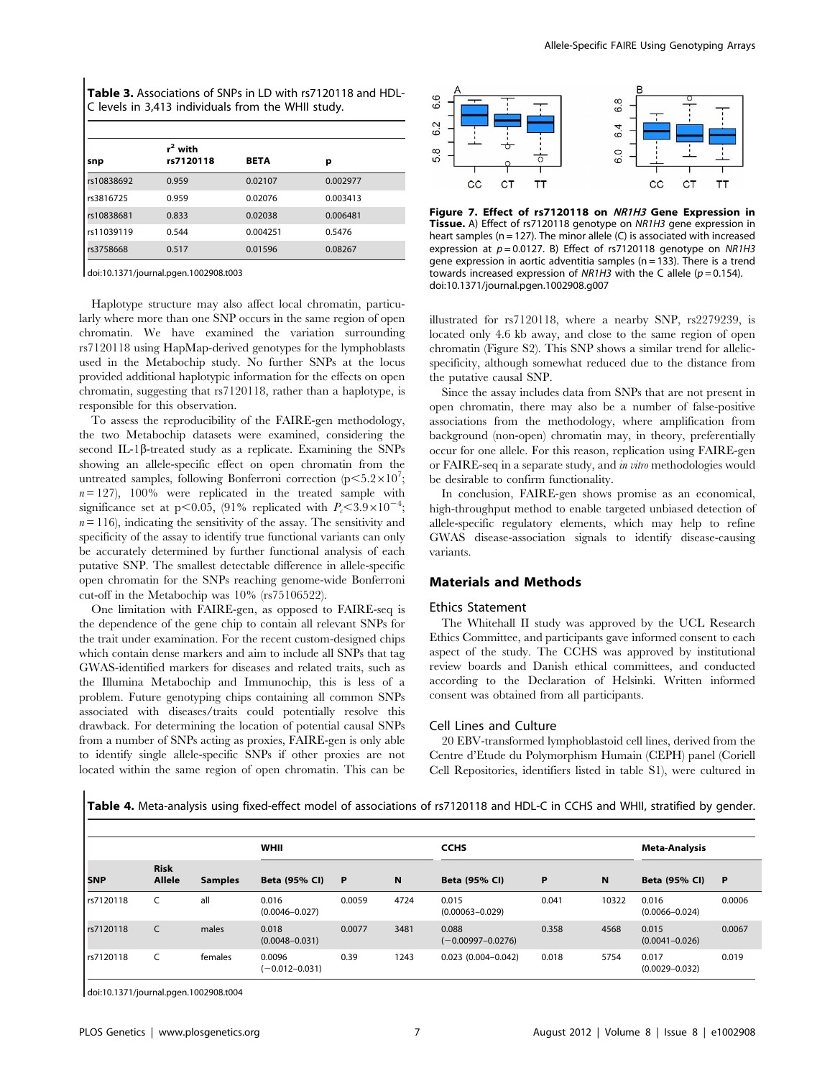| <b>Table 3.</b> Associations of SNPs in LD with rs7120118 and HDL- |
|--------------------------------------------------------------------|
| C levels in 3,413 individuals from the WHII study.                 |

| snp        | $r^2$ with<br>rs7120118 | <b>BETA</b> | р        |  |
|------------|-------------------------|-------------|----------|--|
| rs10838692 | 0.959                   | 0.02107     | 0.002977 |  |
| rs3816725  | 0.959                   | 0.02076     | 0.003413 |  |
| rs10838681 | 0.833                   | 0.02038     | 0.006481 |  |
| rs11039119 | 0.544                   | 0.004251    | 0.5476   |  |
| rs3758668  | 0.517                   | 0.01596     | 0.08267  |  |

doi:10.1371/journal.pgen.1002908.t003

Haplotype structure may also affect local chromatin, particularly where more than one SNP occurs in the same region of open chromatin. We have examined the variation surrounding rs7120118 using HapMap-derived genotypes for the lymphoblasts used in the Metabochip study. No further SNPs at the locus provided additional haplotypic information for the effects on open chromatin, suggesting that rs7120118, rather than a haplotype, is responsible for this observation.

To assess the reproducibility of the FAIRE-gen methodology, the two Metabochip datasets were examined, considering the second IL-1 $\beta$ -treated study as a replicate. Examining the SNPs showing an allele-specific effect on open chromatin from the untreated samples, following Bonferroni correction  $(p<5.2\times10^7;$  $n = 127$ , 100% were replicated in the treated sample with significance set at p<0.05, (91% replicated with  $P_c < 3.9 \times 10^{-4}$ ;  $n = 116$ ), indicating the sensitivity of the assay. The sensitivity and specificity of the assay to identify true functional variants can only be accurately determined by further functional analysis of each putative SNP. The smallest detectable difference in allele-specific open chromatin for the SNPs reaching genome-wide Bonferroni cut-off in the Metabochip was 10% (rs75106522).

One limitation with FAIRE-gen, as opposed to FAIRE-seq is the dependence of the gene chip to contain all relevant SNPs for the trait under examination. For the recent custom-designed chips which contain dense markers and aim to include all SNPs that tag GWAS-identified markers for diseases and related traits, such as the Illumina Metabochip and Immunochip, this is less of a problem. Future genotyping chips containing all common SNPs associated with diseases/traits could potentially resolve this drawback. For determining the location of potential causal SNPs from a number of SNPs acting as proxies, FAIRE-gen is only able to identify single allele-specific SNPs if other proxies are not located within the same region of open chromatin. This can be



Figure 7. Effect of rs7120118 on NR1H3 Gene Expression in Tissue. A) Effect of rs7120118 genotype on NR1H3 gene expression in heart samples ( $n = 127$ ). The minor allele (C) is associated with increased expression at  $p = 0.0127$ . B) Effect of rs7120118 genotype on NR1H3 gene expression in aortic adventitia samples ( $n = 133$ ). There is a trend towards increased expression of NR1H3 with the C allele ( $p = 0.154$ ). doi:10.1371/journal.pgen.1002908.g007

illustrated for rs7120118, where a nearby SNP, rs2279239, is located only 4.6 kb away, and close to the same region of open chromatin (Figure S2). This SNP shows a similar trend for allelicspecificity, although somewhat reduced due to the distance from the putative causal SNP.

Since the assay includes data from SNPs that are not present in open chromatin, there may also be a number of false-positive associations from the methodology, where amplification from background (non-open) chromatin may, in theory, preferentially occur for one allele. For this reason, replication using FAIRE-gen or FAIRE-seq in a separate study, and in vitro methodologies would be desirable to confirm functionality.

In conclusion, FAIRE-gen shows promise as an economical, high-throughput method to enable targeted unbiased detection of allele-specific regulatory elements, which may help to refine GWAS disease-association signals to identify disease-causing variants.

# Materials and Methods

### Ethics Statement

The Whitehall II study was approved by the UCL Research Ethics Committee, and participants gave informed consent to each aspect of the study. The CCHS was approved by institutional review boards and Danish ethical committees, and conducted according to the Declaration of Helsinki. Written informed consent was obtained from all participants.

#### Cell Lines and Culture

20 EBV-transformed lymphoblastoid cell lines, derived from the Centre d'Etude du Polymorphism Humain (CEPH) panel (Coriell Cell Repositories, identifiers listed in table S1), were cultured in

Table 4. Meta-analysis using fixed-effect model of associations of rs7120118 and HDL-C in CCHS and WHII, stratified by gender.

|           |                       |                | <b>WHII</b>                  |              |      | <b>CCHS</b>                    |       |       | <b>Meta-Analysis</b>        |          |
|-----------|-----------------------|----------------|------------------------------|--------------|------|--------------------------------|-------|-------|-----------------------------|----------|
| l SNP     | <b>Risk</b><br>Allele | <b>Samples</b> | Beta (95% CI)                | $\mathsf{P}$ | N    | Beta (95% CI)                  | P     | N     | <b>Beta (95% CI)</b>        | <b>P</b> |
| rs7120118 |                       | all            | 0.016<br>$(0.0046 - 0.027)$  | 0.0059       | 4724 | 0.015<br>$(0.00063 - 0.029)$   | 0.041 | 10322 | 0.016<br>$(0.0066 - 0.024)$ | 0.0006   |
| rs7120118 | C                     | males          | 0.018<br>$(0.0048 - 0.031)$  | 0.0077       | 3481 | 0.088<br>$(-0.00997 - 0.0276)$ | 0.358 | 4568  | 0.015<br>$(0.0041 - 0.026)$ | 0.0067   |
| rs7120118 |                       | females        | 0.0096<br>$(-0.012 - 0.031)$ | 0.39         | 1243 | $0.023$ (0.004-0.042)          | 0.018 | 5754  | 0.017<br>$(0.0029 - 0.032)$ | 0.019    |

doi:10.1371/journal.pgen.1002908.t004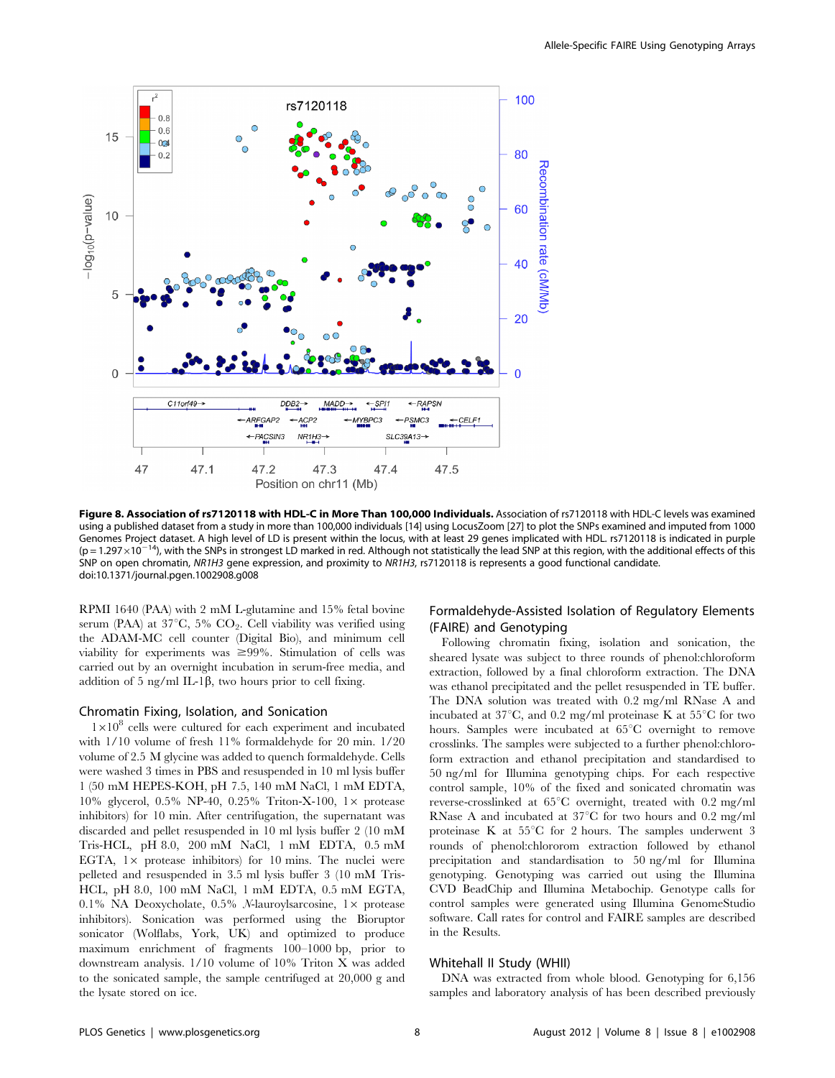

Figure 8. Association of rs7120118 with HDL-C in More Than 100,000 Individuals. Association of rs7120118 with HDL-C levels was examined using a published dataset from a study in more than 100,000 individuals [14] using LocusZoom [27] to plot the SNPs examined and imputed from 1000 Genomes Project dataset. A high level of LD is present within the locus, with at least 29 genes implicated with HDL. rs7120118 is indicated in purple  $(p = 1.297 \times 10^{-14})$ , with the SNPs in strongest LD marked in red. Although not statistically the lead SNP at this region, with the additional effects of this SNP on open chromatin, NR1H3 gene expression, and proximity to NR1H3, rs7120118 is represents a good functional candidate. doi:10.1371/journal.pgen.1002908.g008

RPMI 1640 (PAA) with 2 mM L-glutamine and 15% fetal bovine serum (PAA) at  $37^{\circ}$ C,  $5\%$  CO<sub>2</sub>. Cell viability was verified using the ADAM-MC cell counter (Digital Bio), and minimum cell viability for experiments was  $\geq 99\%$ . Stimulation of cells was carried out by an overnight incubation in serum-free media, and addition of 5 ng/ml IL-1 $\beta$ , two hours prior to cell fixing.

### Chromatin Fixing, Isolation, and Sonication

 $1\times10^8$  cells were cultured for each experiment and incubated with 1/10 volume of fresh 11% formaldehyde for 20 min. 1/20 volume of 2.5 M glycine was added to quench formaldehyde. Cells were washed 3 times in PBS and resuspended in 10 ml lysis buffer 1 (50 mM HEPES-KOH, pH 7.5, 140 mM NaCl, 1 mM EDTA, 10% glycerol, 0.5% NP-40, 0.25% Triton-X-100,  $1 \times$  protease inhibitors) for 10 min. After centrifugation, the supernatant was discarded and pellet resuspended in 10 ml lysis buffer 2 (10 mM Tris-HCL, pH 8.0, 200 mM NaCl, 1 mM EDTA, 0.5 mM EGTA,  $1 \times$  protease inhibitors) for 10 mins. The nuclei were pelleted and resuspended in 3.5 ml lysis buffer 3 (10 mM Tris-HCL, pH 8.0, 100 mM NaCl, 1 mM EDTA, 0.5 mM EGTA, 0.1% NA Deoxycholate, 0.5%  $N$ -lauroylsarcosine, 1 $\times$  protease inhibitors). Sonication was performed using the Bioruptor sonicator (Wolflabs, York, UK) and optimized to produce maximum enrichment of fragments 100–1000 bp, prior to downstream analysis. 1/10 volume of 10% Triton X was added to the sonicated sample, the sample centrifuged at 20,000 g and the lysate stored on ice.

# Formaldehyde-Assisted Isolation of Regulatory Elements (FAIRE) and Genotyping

Following chromatin fixing, isolation and sonication, the sheared lysate was subject to three rounds of phenol:chloroform extraction, followed by a final chloroform extraction. The DNA was ethanol precipitated and the pellet resuspended in TE buffer. The DNA solution was treated with 0.2 mg/ml RNase A and incubated at  $37^{\circ}$ C, and 0.2 mg/ml proteinase K at  $55^{\circ}$ C for two hours. Samples were incubated at  $65^{\circ}$ C overnight to remove crosslinks. The samples were subjected to a further phenol:chloroform extraction and ethanol precipitation and standardised to 50 ng/ml for Illumina genotyping chips. For each respective control sample, 10% of the fixed and sonicated chromatin was reverse-crosslinked at 65°C overnight, treated with 0.2 mg/ml RNase A and incubated at  $37^{\circ}$ C for two hours and 0.2 mg/ml proteinase K at  $55^{\circ}$ C for 2 hours. The samples underwent 3 rounds of phenol:chlororom extraction followed by ethanol precipitation and standardisation to 50 ng/ml for Illumina genotyping. Genotyping was carried out using the Illumina CVD BeadChip and Illumina Metabochip. Genotype calls for control samples were generated using Illumina GenomeStudio software. Call rates for control and FAIRE samples are described in the Results.

#### Whitehall II Study (WHII)

DNA was extracted from whole blood. Genotyping for 6,156 samples and laboratory analysis of has been described previously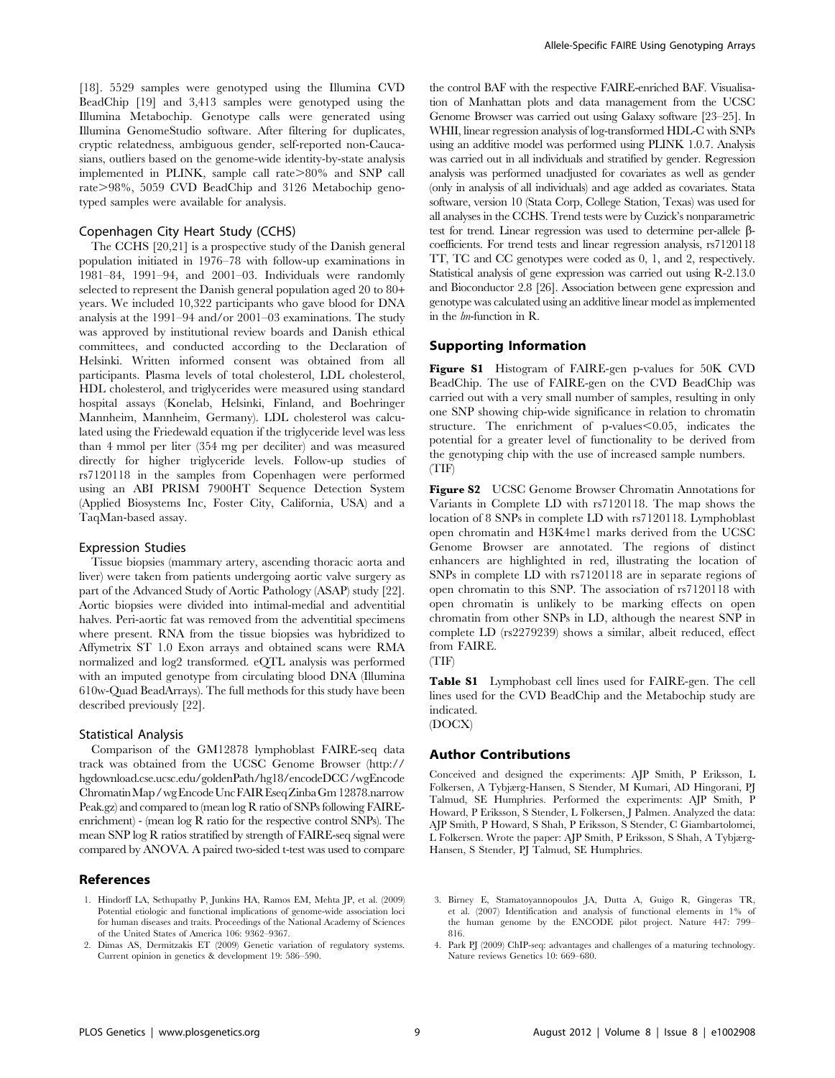[18]. 5529 samples were genotyped using the Illumina CVD BeadChip [19] and 3,413 samples were genotyped using the Illumina Metabochip. Genotype calls were generated using Illumina GenomeStudio software. After filtering for duplicates, cryptic relatedness, ambiguous gender, self-reported non-Caucasians, outliers based on the genome-wide identity-by-state analysis implemented in PLINK, sample call rate >80% and SNP call rate $>98\%$ , 5059 CVD BeadChip and 3126 Metabochip genotyped samples were available for analysis.

# Copenhagen City Heart Study (CCHS)

The CCHS [20,21] is a prospective study of the Danish general population initiated in 1976–78 with follow-up examinations in 1981–84, 1991–94, and 2001–03. Individuals were randomly selected to represent the Danish general population aged 20 to 80+ years. We included 10,322 participants who gave blood for DNA analysis at the 1991–94 and/or 2001–03 examinations. The study was approved by institutional review boards and Danish ethical committees, and conducted according to the Declaration of Helsinki. Written informed consent was obtained from all participants. Plasma levels of total cholesterol, LDL cholesterol, HDL cholesterol, and triglycerides were measured using standard hospital assays (Konelab, Helsinki, Finland, and Boehringer Mannheim, Mannheim, Germany). LDL cholesterol was calculated using the Friedewald equation if the triglyceride level was less than 4 mmol per liter (354 mg per deciliter) and was measured directly for higher triglyceride levels. Follow-up studies of rs7120118 in the samples from Copenhagen were performed using an ABI PRISM 7900HT Sequence Detection System (Applied Biosystems Inc, Foster City, California, USA) and a TaqMan-based assay.

#### Expression Studies

Tissue biopsies (mammary artery, ascending thoracic aorta and liver) were taken from patients undergoing aortic valve surgery as part of the Advanced Study of Aortic Pathology (ASAP) study [22]. Aortic biopsies were divided into intimal-medial and adventitial halves. Peri-aortic fat was removed from the adventitial specimens where present. RNA from the tissue biopsies was hybridized to Affymetrix ST 1.0 Exon arrays and obtained scans were RMA normalized and log2 transformed. eQTL analysis was performed with an imputed genotype from circulating blood DNA (Illumina 610w-Quad BeadArrays). The full methods for this study have been described previously [22].

#### Statistical Analysis

Comparison of the GM12878 lymphoblast FAIRE-seq data track was obtained from the UCSC Genome Browser (http:// hgdownload.cse.ucsc.edu/goldenPath/hg18/encodeDCC/wgEncode ChromatinMap/wgEncodeUncFAIREseqZinbaGm 12878.narrow Peak.gz) and compared to (mean log R ratio of SNPs following FAIREenrichment) - (mean log R ratio for the respective control SNPs). The mean SNP log R ratios stratified by strength of FAIRE-seq signal were compared by ANOVA. A paired two-sided t-test was used to compare

#### References

- 1. Hindorff LA, Sethupathy P, Junkins HA, Ramos EM, Mehta JP, et al. (2009) Potential etiologic and functional implications of genome-wide association loci for human diseases and traits. Proceedings of the National Academy of Sciences of the United States of America 106: 9362–9367.
- 2. Dimas AS, Dermitzakis ET (2009) Genetic variation of regulatory systems. Current opinion in genetics & development 19: 586–590.

the control BAF with the respective FAIRE-enriched BAF. Visualisation of Manhattan plots and data management from the UCSC Genome Browser was carried out using Galaxy software [23–25]. In WHII, linear regression analysis of log-transformed HDL-C with SNPs using an additive model was performed using PLINK 1.0.7. Analysis was carried out in all individuals and stratified by gender. Regression analysis was performed unadjusted for covariates as well as gender (only in analysis of all individuals) and age added as covariates. Stata software, version 10 (Stata Corp, College Station, Texas) was used for all analyses in the CCHS. Trend tests were by Cuzick's nonparametric test for trend. Linear regression was used to determine per-allele bcoefficients. For trend tests and linear regression analysis, rs7120118 TT, TC and CC genotypes were coded as 0, 1, and 2, respectively. Statistical analysis of gene expression was carried out using R-2.13.0 and Bioconductor 2.8 [26]. Association between gene expression and genotype was calculated using an additive linear model as implemented in the lm-function in R.

# Supporting Information

Figure S1 Histogram of FAIRE-gen p-values for 50K CVD BeadChip. The use of FAIRE-gen on the CVD BeadChip was carried out with a very small number of samples, resulting in only one SNP showing chip-wide significance in relation to chromatin structure. The enrichment of p-values $< 0.05$ , indicates the potential for a greater level of functionality to be derived from the genotyping chip with the use of increased sample numbers. (TIF)

Figure S2 UCSC Genome Browser Chromatin Annotations for Variants in Complete LD with rs7120118. The map shows the location of 8 SNPs in complete LD with rs7120118. Lymphoblast open chromatin and H3K4me1 marks derived from the UCSC Genome Browser are annotated. The regions of distinct enhancers are highlighted in red, illustrating the location of SNPs in complete LD with rs7120118 are in separate regions of open chromatin to this SNP. The association of rs7120118 with open chromatin is unlikely to be marking effects on open chromatin from other SNPs in LD, although the nearest SNP in complete LD (rs2279239) shows a similar, albeit reduced, effect from FAIRE.

(TIF)

Table S1 Lymphobast cell lines used for FAIRE-gen. The cell lines used for the CVD BeadChip and the Metabochip study are indicated. (DOCX)

# Author Contributions

Conceived and designed the experiments: AJP Smith, P Eriksson, L Folkersen, A Tybjærg-Hansen, S Stender, M Kumari, AD Hingorani, PJ Talmud, SE Humphries. Performed the experiments: AJP Smith, P Howard, P Eriksson, S Stender, L Folkersen, J Palmen. Analyzed the data: AJP Smith, P Howard, S Shah, P Eriksson, S Stender, C Giambartolomei, L Folkersen. Wrote the paper: AJP Smith, P Eriksson, S Shah, A Tybjærg-Hansen, S Stender, PJ Talmud, SE Humphries.

- 3. Birney E, Stamatoyannopoulos JA, Dutta A, Guigo R, Gingeras TR, et al. (2007) Identification and analysis of functional elements in 1% of the human genome by the ENCODE pilot project. Nature 447: 799– 816.
- 4. Park PJ (2009) ChIP-seq: advantages and challenges of a maturing technology. Nature reviews Genetics 10: 669–680.